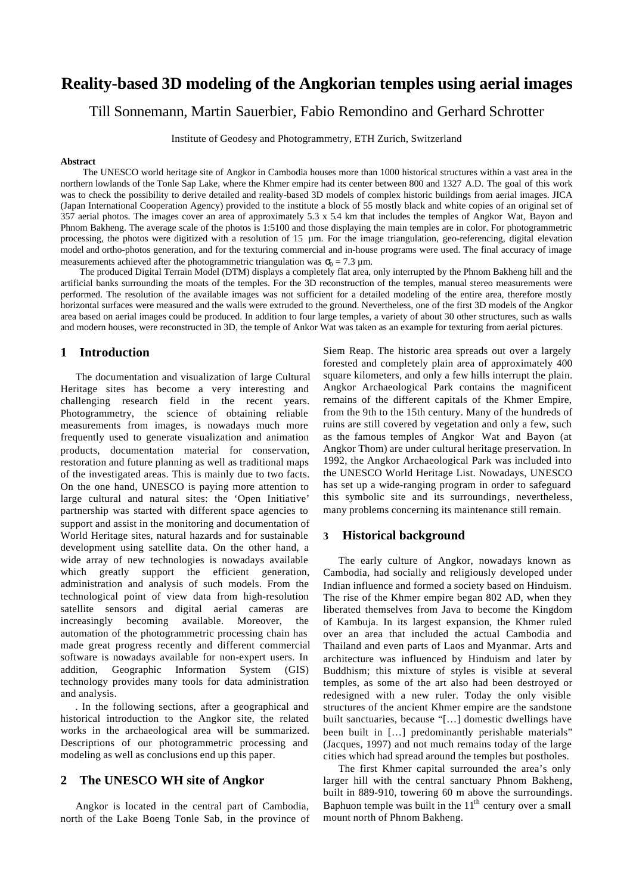# **Reality-based 3D modeling of the Angkorian temples using aerial images**

Till Sonnemann, Martin Sauerbier, Fabio Remondino and Gerhard Schrotter

Institute of Geodesy and Photogrammetry, ETH Zurich, Switzerland

#### **Abstract**

The UNESCO world heritage site of Angkor in Cambodia houses more than 1000 historical structures within a vast area in the northern lowlands of the Tonle Sap Lake, where the Khmer empire had its center between 800 and 1327 A.D. The goal of this work was to check the possibility to derive detailed and reality-based 3D models of complex historic buildings from aerial images. JICA (Japan International Cooperation Agency) provided to the institute a block of 55 mostly black and white copies of an original set of 357 aerial photos. The images cover an area of approximately 5.3 x 5.4 km that includes the temples of Angkor Wat, Bayon and Phnom Bakheng. The average scale of the photos is 1:5100 and those displaying the main temples are in color. For photogrammetric processing, the photos were digitized with a resolution of 15 µm. For the image triangulation, geo-referencing, digital elevation model and ortho-photos generation, and for the texturing commercial and in-house programs were used. The final accuracy of image measurements achieved after the photogrammetric triangulation was  $\sigma_0 = 7.3 \text{ µm}$ .

The produced Digital Terrain Model (DTM) displays a completely flat area, only interrupted by the Phnom Bakheng hill and the artificial banks surrounding the moats of the temples. For the 3D reconstruction of the temples, manual stereo measurements were performed. The resolution of the available images was not sufficient for a detailed modeling of the entire area, therefore mostly horizontal surfaces were measured and the walls were extruded to the ground. Nevertheless, one of the first 3D models of the Angkor area based on aerial images could be produced. In addition to four large temples, a variety of about 30 other structures, such as walls and modern houses, were reconstructed in 3D, the temple of Ankor Wat was taken as an example for texturing from aerial pictures.

#### **1 Introduction**

The documentation and visualization of large Cultural Heritage sites has become a very interesting and challenging research field in the recent years. Photogrammetry, the science of obtaining reliable measurements from images, is nowadays much more frequently used to generate visualization and animation products, documentation material for conservation, restoration and future planning as well as traditional maps of the investigated areas. This is mainly due to two facts. On the one hand, UNESCO is paying more attention to large cultural and natural sites: the 'Open Initiative' partnership was started with different space agencies to support and assist in the monitoring and documentation of World Heritage sites, natural hazards and for sustainable development using satellite data. On the other hand, a wide array of new technologies is nowadays available which greatly support the efficient generation, administration and analysis of such models. From the technological point of view data from high-resolution satellite sensors and digital aerial cameras are increasingly becoming available. Moreover, the automation of the photogrammetric processing chain has made great progress recently and different commercial software is nowadays available for non-expert users. In addition, Geographic Information System (GIS) technology provides many tools for data administration and analysis.

*.* In the following sections, after a geographical and historical introduction to the Angkor site, the related works in the archaeological area will be summarized. Descriptions of our photogrammetric processing and modeling as well as conclusions end up this paper.

## **2 The UNESCO WH site of Angkor**

Angkor is located in the central part of Cambodia, north of the Lake Boeng Tonle Sab, in the province of Siem Reap. The historic area spreads out over a largely forested and completely plain area of approximately 400 square kilometers, and only a few hills interrupt the plain. Angkor Archaeological Park contains the magnificent remains of the different capitals of the Khmer Empire, from the 9th to the 15th century. Many of the hundreds of ruins are still covered by vegetation and only a few, such as the famous temples of Angkor Wat and Bayon (at Angkor Thom) are under cultural heritage preservation. In 1992, the Angkor Archaeological Park was included into the UNESCO World Heritage List. Nowadays, UNESCO has set up a wide-ranging program in order to safeguard this symbolic site and its surroundings, nevertheless, many problems concerning its maintenance still remain.

## **3 Historical background**

The early culture of Angkor, nowadays known as Cambodia, had socially and religiously developed under Indian influence and formed a society based on Hinduism. The rise of the Khmer empire began 802 AD, when they liberated themselves from Java to become the Kingdom of Kambuja. In its largest expansion, the Khmer ruled over an area that included the actual Cambodia and Thailand and even parts of Laos and Myanmar. Arts and architecture was influenced by Hinduism and later by Buddhism; this mixture of styles is visible at several temples, as some of the art also had been destroyed or redesigned with a new ruler. Today the only visible structures of the ancient Khmer empire are the sandstone built sanctuaries, because "[…] domestic dwellings have been built in […] predominantly perishable materials" (Jacques, 1997) and not much remains today of the large cities which had spread around the temples but postholes.

The first Khmer capital surrounded the area's only larger hill with the central sanctuary Phnom Bakheng, built in 889-910, towering 60 m above the surroundings. Baphuon temple was built in the  $11<sup>th</sup>$  century over a small mount north of Phnom Bakheng.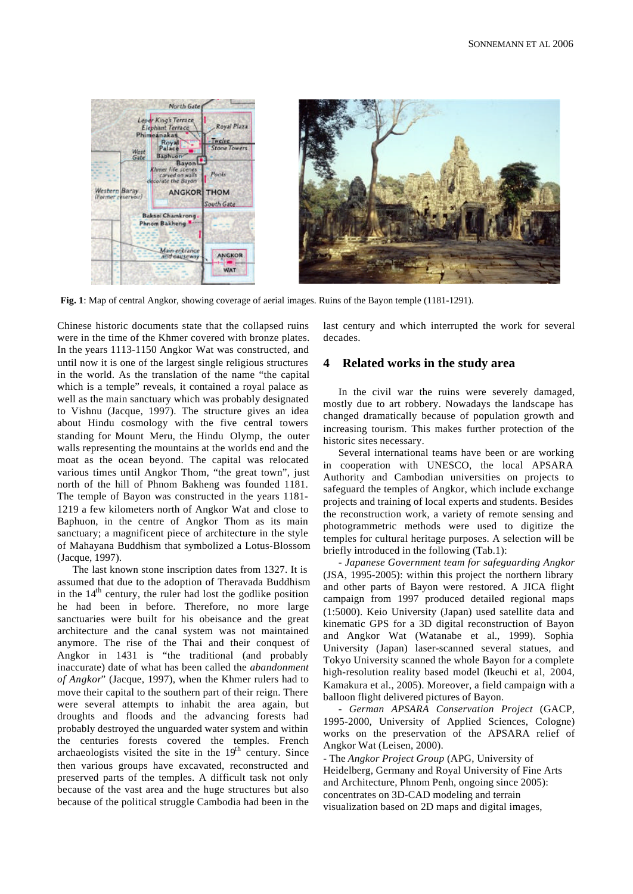

**Fig. 1**: Map of central Angkor, showing coverage of aerial images. Ruins of the Bayon temple (1181-1291).

Chinese historic documents state that the collapsed ruins were in the time of the Khmer covered with bronze plates. In the years 1113-1150 Angkor Wat was constructed, and until now it is one of the largest single religious structures in the world. As the translation of the name "the capital which is a temple" reveals, it contained a royal palace as well as the main sanctuary which was probably designated to Vishnu (Jacque, 1997). The structure gives an idea about Hindu cosmology with the five central towers standing for Mount Meru, the Hindu Olymp, the outer walls representing the mountains at the worlds end and the moat as the ocean beyond. The capital was relocated various times until Angkor Thom, "the great town", just north of the hill of Phnom Bakheng was founded 1181. The temple of Bayon was constructed in the years 1181- 1219 a few kilometers north of Angkor Wat and close to Baphuon, in the centre of Angkor Thom as its main sanctuary; a magnificent piece of architecture in the style of Mahayana Buddhism that symbolized a Lotus-Blossom (Jacque, 1997).

The last known stone inscription dates from 1327. It is assumed that due to the adoption of Theravada Buddhism in the  $14<sup>th</sup>$  century, the ruler had lost the godlike position he had been in before. Therefore, no more large sanctuaries were built for his obeisance and the great architecture and the canal system was not maintained anymore. The rise of the Thai and their conquest of Angkor in 1431 is "the traditional (and probably inaccurate) date of what has been called the *abandonment of Angkor*" (Jacque, 1997), when the Khmer rulers had to move their capital to the southern part of their reign. There were several attempts to inhabit the area again, but droughts and floods and the advancing forests had probably destroyed the unguarded water system and within the centuries forests covered the temples. French archaeologists visited the site in the 19<sup>th</sup> century. Since then various groups have excavated, reconstructed and preserved parts of the temples. A difficult task not only because of the vast area and the huge structures but also because of the political struggle Cambodia had been in the

last century and which interrupted the work for several decades.

## **4 Related works in the study area**

In the civil war the ruins were severely damaged, mostly due to art robbery. Nowadays the landscape has changed dramatically because of population growth and increasing tourism. This makes further protection of the historic sites necessary.

Several international teams have been or are working in cooperation with UNESCO, the local APSARA Authority and Cambodian universities on projects to safeguard the temples of Angkor, which include exchange projects and training of local experts and students. Besides the reconstruction work, a variety of remote sensing and photogrammetric methods were used to digitize the temples for cultural heritage purposes. A selection will be briefly introduced in the following (Tab.1):

*- Japanese Government team for safeguarding Angkor* (JSA, 1995-2005): within this project the northern library and other parts of Bayon were restored. A JICA flight campaign from 1997 produced detailed regional maps (1:5000). Keio University (Japan) used satellite data and kinematic GPS for a 3D digital reconstruction of Bayon and Angkor Wat (Watanabe et al., 1999). Sophia University (Japan) laser-scanned several statues, and Tokyo University scanned the whole Bayon for a complete high-resolution reality based model (Ikeuchi et al, 2004, Kamakura et al., 2005). Moreover, a field campaign with a balloon flight delivered pictures of Bayon.

*- German APSARA Conservation Project* (GACP, 1995-2000, University of Applied Sciences, Cologne) works on the preservation of the APSARA relief of Angkor Wat (Leisen, 2000).

- The *Angkor Project Group* (APG, University of Heidelberg, Germany and Royal University of Fine Arts and Architecture, Phnom Penh, ongoing since 2005): concentrates on 3D-CAD modeling and terrain visualization based on 2D maps and digital images,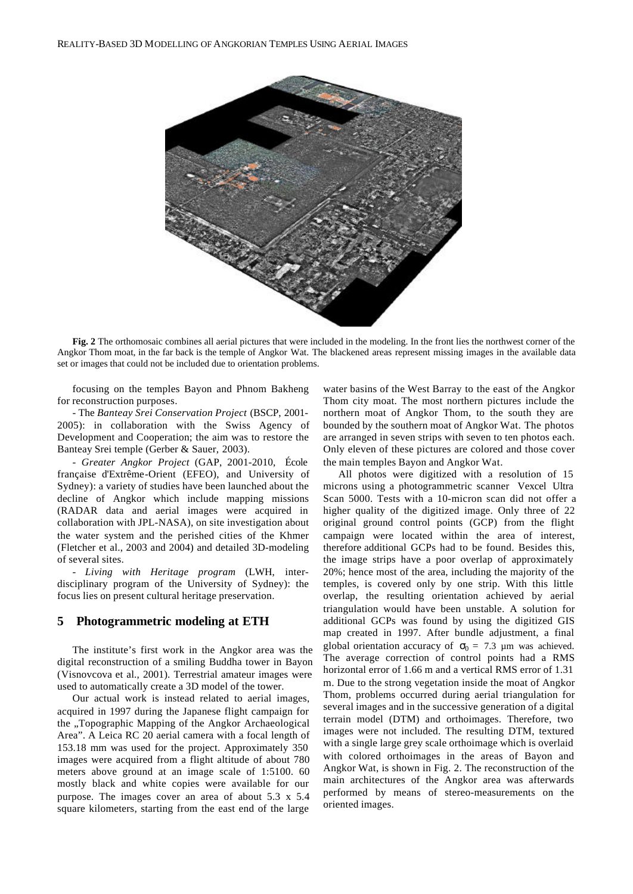

**Fig. 2** The orthomosaic combines all aerial pictures that were included in the modeling. In the front lies the northwest corner of the Angkor Thom moat, in the far back is the temple of Angkor Wat. The blackened areas represent missing images in the available data set or images that could not be included due to orientation problems.

focusing on the temples Bayon and Phnom Bakheng for reconstruction purposes.

- The *Banteay Srei Conservation Project* (BSCP, 2001- 2005): in collaboration with the Swiss Agency of Development and Cooperation; the aim was to restore the Banteay Srei temple (Gerber & Sauer, 2003).

*- Greater Angkor Project* (GAP, 2001-2010, École française d'Extrême-Orient (EFEO), and University of Sydney): a variety of studies have been launched about the decline of Angkor which include mapping missions (RADAR data and aerial images were acquired in collaboration with JPL-NASA), on site investigation about the water system and the perished cities of the Khmer (Fletcher et al., 2003 and 2004) and detailed 3D-modeling of several sites.

- *Living with Heritage program* (LWH, interdisciplinary program of the University of Sydney): the focus lies on present cultural heritage preservation.

#### **5 Photogrammetric modeling at ETH**

The institute's first work in the Angkor area was the digital reconstruction of a smiling Buddha tower in Bayon (Visnovcova et al., 2001). Terrestrial amateur images were used to automatically create a 3D model of the tower.

Our actual work is instead related to aerial images, acquired in 1997 during the Japanese flight campaign for the "Topographic Mapping of the Angkor Archaeological Area". A Leica RC 20 aerial camera with a focal length of 153.18 mm was used for the project. Approximately 350 images were acquired from a flight altitude of about 780 meters above ground at an image scale of 1:5100. 60 mostly black and white copies were available for our purpose. The images cover an area of about 5.3 x 5.4 square kilometers, starting from the east end of the large

water basins of the West Barray to the east of the Angkor Thom city moat. The most northern pictures include the northern moat of Angkor Thom, to the south they are bounded by the southern moat of Angkor Wat. The photos are arranged in seven strips with seven to ten photos each. Only eleven of these pictures are colored and those cover the main temples Bayon and Angkor Wat.

All photos were digitized with a resolution of 15 microns using a photogrammetric scanner Vexcel Ultra Scan 5000. Tests with a 10-micron scan did not offer a higher quality of the digitized image. Only three of 22 original ground control points (GCP) from the flight campaign were located within the area of interest, therefore additional GCPs had to be found. Besides this, the image strips have a poor overlap of approximately 20%; hence most of the area, including the majority of the temples, is covered only by one strip. With this little overlap, the resulting orientation achieved by aerial triangulation would have been unstable. A solution for additional GCPs was found by using the digitized GIS map created in 1997. After bundle adjustment, a final global orientation accuracy of  $\sigma_0 = 7.3$  µm was achieved. The average correction of control points had a RMS horizontal error of 1.66 m and a vertical RMS error of 1.31 m. Due to the strong vegetation inside the moat of Angkor Thom, problems occurred during aerial triangulation for several images and in the successive generation of a digital terrain model (DTM) and orthoimages. Therefore, two images were not included. The resulting DTM, textured with a single large grey scale orthoimage which is overlaid with colored orthoimages in the areas of Bayon and Angkor Wat, is shown in Fig. 2. The reconstruction of the main architectures of the Angkor area was afterwards performed by means of stereo-measurements on the oriented images.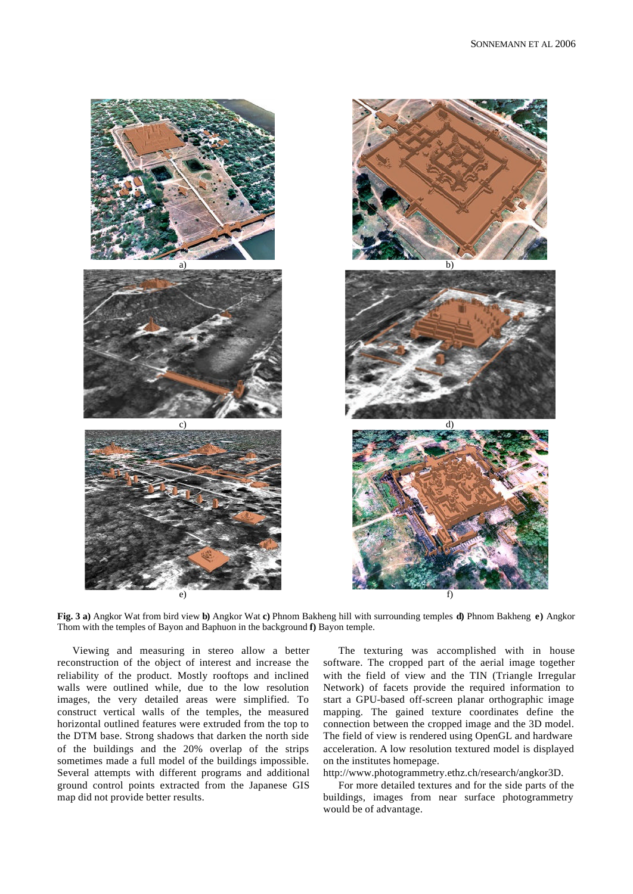

**Fig. 3 a)** Angkor Wat from bird view **b)** Angkor Wat **c)** Phnom Bakheng hill with surrounding temples **d)** Phnom Bakheng **e)** Angkor Thom with the temples of Bayon and Baphuon in the background **f)** Bayon temple.

Viewing and measuring in stereo allow a better reconstruction of the object of interest and increase the reliability of the product. Mostly rooftops and inclined walls were outlined while, due to the low resolution images, the very detailed areas were simplified. To construct vertical walls of the temples, the measured horizontal outlined features were extruded from the top to the DTM base. Strong shadows that darken the north side of the buildings and the 20% overlap of the strips sometimes made a full model of the buildings impossible. Several attempts with different programs and additional ground control points extracted from the Japanese GIS map did not provide better results.

The texturing was accomplished with in house software. The cropped part of the aerial image together with the field of view and the TIN (Triangle Irregular Network) of facets provide the required information to start a GPU-based off-screen planar orthographic image mapping. The gained texture coordinates define the connection between the cropped image and the 3D model. The field of view is rendered using OpenGL and hardware acceleration. A low resolution textured model is displayed on the institutes homepage.

http://www.photogrammetry.ethz.ch/research/angkor3D.

For more detailed textures and for the side parts of the buildings, images from near surface photogrammetry would be of advantage.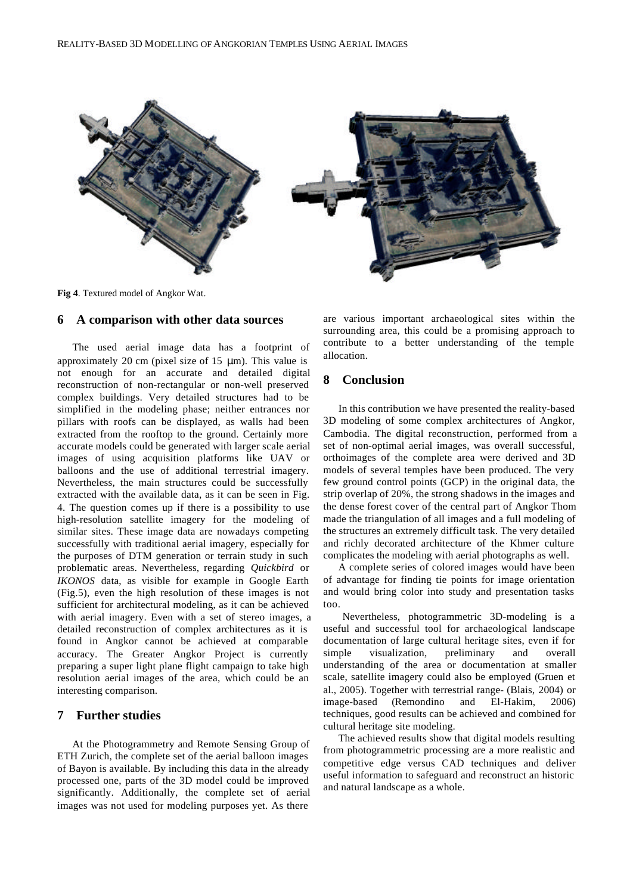

**Fig 4**. Textured model of Angkor Wat.

### **6 A comparison with other data sources**

The used aerial image data has a footprint of approximately 20 cm (pixel size of 15 μm). This value is not enough for an accurate and detailed digital reconstruction of non-rectangular or non-well preserved complex buildings. Very detailed structures had to be simplified in the modeling phase; neither entrances nor pillars with roofs can be displayed, as walls had been extracted from the rooftop to the ground. Certainly more accurate models could be generated with larger scale aerial images of using acquisition platforms like UAV or balloons and the use of additional terrestrial imagery. Nevertheless, the main structures could be successfully extracted with the available data, as it can be seen in Fig. 4. The question comes up if there is a possibility to use high-resolution satellite imagery for the modeling of similar sites. These image data are nowadays competing successfully with traditional aerial imagery, especially for the purposes of DTM generation or terrain study in such problematic areas. Nevertheless, regarding *Quickbird* or *IKONOS* data, as visible for example in Google Earth (Fig.5), even the high resolution of these images is not sufficient for architectural modeling, as it can be achieved with aerial imagery. Even with a set of stereo images, a detailed reconstruction of complex architectures as it is found in Angkor cannot be achieved at comparable accuracy. The Greater Angkor Project is currently preparing a super light plane flight campaign to take high resolution aerial images of the area, which could be an interesting comparison.

## **7 Further studies**

At the Photogrammetry and Remote Sensing Group of ETH Zurich, the complete set of the aerial balloon images of Bayon is available. By including this data in the already processed one, parts of the 3D model could be improved significantly. Additionally, the complete set of aerial images was not used for modeling purposes yet. As there

are various important archaeological sites within the surrounding area, this could be a promising approach to contribute to a better understanding of the temple allocation.

## **8 Conclusion**

In this contribution we have presented the reality-based 3D modeling of some complex architectures of Angkor, Cambodia. The digital reconstruction, performed from a set of non-optimal aerial images, was overall successful, orthoimages of the complete area were derived and 3D models of several temples have been produced. The very few ground control points (GCP) in the original data, the strip overlap of 20%, the strong shadows in the images and the dense forest cover of the central part of Angkor Thom made the triangulation of all images and a full modeling of the structures an extremely difficult task. The very detailed and richly decorated architecture of the Khmer culture complicates the modeling with aerial photographs as well.

A complete series of colored images would have been of advantage for finding tie points for image orientation and would bring color into study and presentation tasks too.

Nevertheless, photogrammetric 3D-modeling is a useful and successful tool for archaeological landscape documentation of large cultural heritage sites, even if for simple visualization, preliminary and overall understanding of the area or documentation at smaller scale, satellite imagery could also be employed (Gruen et al., 2005). Together with terrestrial range- (Blais, 2004) or image-based (Remondino and El-Hakim, 2006) techniques, good results can be achieved and combined for cultural heritage site modeling.

The achieved results show that digital models resulting from photogrammetric processing are a more realistic and competitive edge versus CAD techniques and deliver useful information to safeguard and reconstruct an historic and natural landscape as a whole.